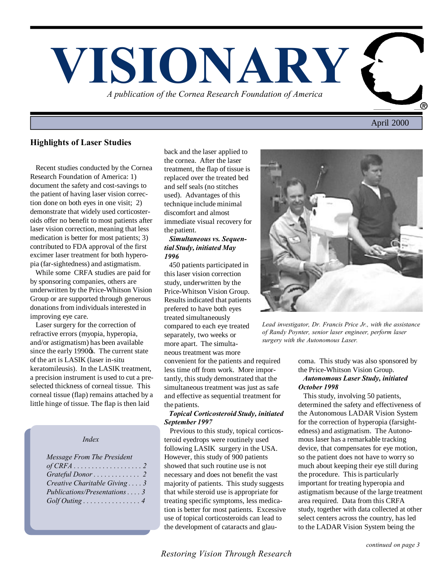

# **Highlights of Laser Studies**

 Recent studies conducted by the Cornea Research Foundation of America: 1) document the safety and cost-savings to the patient of having laser vision correction done on both eyes in one visit; 2) demonstrate that widely used corticosteroids offer no benefit to most patients after laser vision correction, meaning that less medication is better for most patients; 3) contributed to FDA approval of the first excimer laser treatment for both hyperopia (far-sightedness) and astigmatism.

 While some CRFA studies are paid for by sponsoring companies, others are underwritten by the Price-Whitson Vision Group or are supported through generous donations from individuals interested in improving eye care.

 Laser surgery for the correction of refractive errors (myopia, hyperopia, and/or astigmatism) has been available since the early 1990 $\alpha$ s. The current state of the art is LASIK (laser in-situ keratomileusis). In the LASIK treatment, a precision instrument is used to cut a preselected thickness of corneal tissue. This corneal tissue (flap) remains attached by a little hinge of tissue. The flap is then laid

#### *Index*

| Message From The President              |  |
|-----------------------------------------|--|
|                                         |  |
|                                         |  |
| Creative Charitable Giving3             |  |
| Publications/Presentations $\dots$ 3    |  |
| Golf Outing $\dots \dots \dots \dots$ 4 |  |

back and the laser applied to the cornea. After the laser treatment, the flap of tissue is replaced over the treated bed and self seals (no stitches used). Advantages of this technique include minimal discomfort and almost immediate visual recovery for the patient.

#### *Simultaneous vs. Sequential Study, initiated May 1996*

 450 patients participated in this laser vision correction study, underwritten by the Price-Whitson Vision Group. Results indicated that patients prefered to have both eyes treated simultaneously compared to each eye treated separately, two weeks or more apart. The simultaneous treatment was more convenient for the patients and required less time off from work. More impor-

tantly, this study demonstrated that the simultaneous treatment was just as safe and effective as sequential treatment for the patients.

#### *Topical Corticosteroid Study, initiated September 1997*

 Previous to this study, topical corticosteroid eyedrops were routinely used following LASIK surgery in the USA. However, this study of 900 patients showed that such routine use is not necessary and does not benefit the vast majority of patients. This study suggests that while steroid use is appropriate for treating specific symptoms, less medication is better for most patients. Excessive use of topical corticosteroids can lead to the development of cataracts and glau-



*Lead investigator, Dr. Francis Price Jr., with the assistance of Randy Poynter, senior laser engineer, perform laser surgery with the Autonomous Laser.*

coma. This study was also sponsored by the Price-Whitson Vision Group.

## *Autonomous Laser Study, initiated October 1998*

 This study, involving 50 patients, determined the safety and effectiveness of the Autonomous LADAR Vision System for the correction of hyperopia (farsightedness) and astigmatism. The Autonomous laser has a remarkable tracking device, that compensates for eye motion, so the patient does not have to worry so much about keeping their eye still during the procedure. This is particularly important for treating hyperopia and astigmatism because of the large treatment area required. Data from this CRFA study, together with data collected at other select centers across the country, has led to the LADAR Vision System being the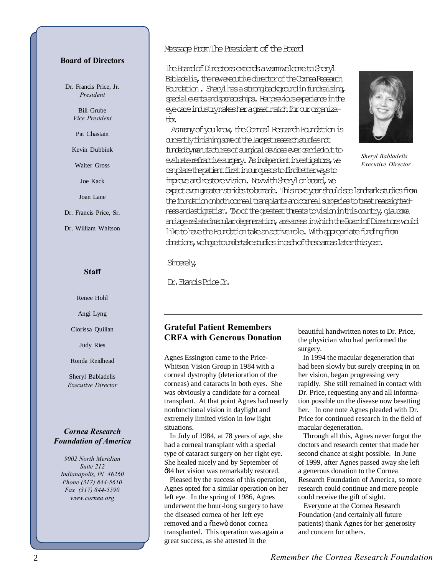#### **Board of Directors**

Dr. Francis Price, Jr. *President*

> Bill Grube *Vice President*

Pat Chastain

Kevin Dubbink

Walter Gross Joe Kack

Joan Lane

Dr. Francis Price, Sr.

Dr. William Whitson

## **Staff**

Renee Hohl

Angi Lyng

Clorissa Quillan

Judy Ries

Ronda Reidhead

Sheryl Babladelis *Executive Director*

## *Cornea Research Foundation of America*

*9002 North Meridian Suite 212 Indianapolis, IN 46260 Phone (317) 844-5610 Fax (317) 844-5590 www.cornea.org*

## Message From The President of the Board

The Board of Directors extends a warm welcome to Sheryl Babladelis, the new executive director of the Cornea Research Foundation. Sheryl has a strong background in fundraising, special events and sponsorships. Her previous experience in the eye care industry makes her a great match for our organization.

 As many of you know, the Corneal Research Foundation is anertly finishing some of the largest research studies not funded by manufactures of surgical devices ever carried out to evaluate refractive surgery. As independent investigators, we can place the patient first in our quests to find better ways to improve and restore vision. Now with Sheryl on board, we



*Sheryl Babladelis Executive Director*

expect even greater strides to be made. This next year should see landmark studies from the foundation on both corneal transplants and corneal surgeries to treat nearsightedness and astigmatism. Two of the greatest threats to vision in this country, glaucoma and age related macular degeneration, are areas in which the Board of Directors would like to have the Foundation take an active role. With appropriate funding from donations, we hope to undertake studies in each of these areas later this year.

#### Sincerely,

Dr. Francis Price Jr.

## **Grateful Patient Remembers CRFA with Generous Donation**

Agnes Essington came to the Price-Whitson Vision Group in 1984 with a corneal dystrophy (deterioration of the corneas) and cataracts in both eyes. She was obviously a candidate for a corneal transplant. At that point Agnes had nearly nonfunctional vision in daylight and extremely limited vision in low light situations.

 In July of 1984, at 78 years of age, she had a corneal transplant with a special type of cataract surgery on her right eye. She healed nicely and by September of '84 her vision was remarkably restored.

 Pleased by the success of this operation, Agnes opted for a similar operation on her left eye. In the spring of 1986, Agnes underwent the hour-long surgery to have the diseased cornea of her left eye removed and a onewo donor cornea transplanted. This operation was again a great success, as she attested in the

beautiful handwritten notes to Dr. Price, the physician who had performed the surgery.

 In 1994 the macular degeneration that had been slowly but surely creeping in on her vision, began progressing very rapidly. She still remained in contact with Dr. Price, requesting any and all information possible on the disease now besetting her. In one note Agnes pleaded with Dr. Price for continued research in the field of macular degeneration.

 Through all this, Agnes never forgot the doctors and research center that made her second chance at sight possible. In June of 1999, after Agnes passed away she left a generous donation to the Cornea Research Foundation of America, so more research could continue and more people could receive the gift of sight.

 Everyone at the Cornea Research Foundation (and certainly all future patients) thank Agnes for her generosity and concern for others.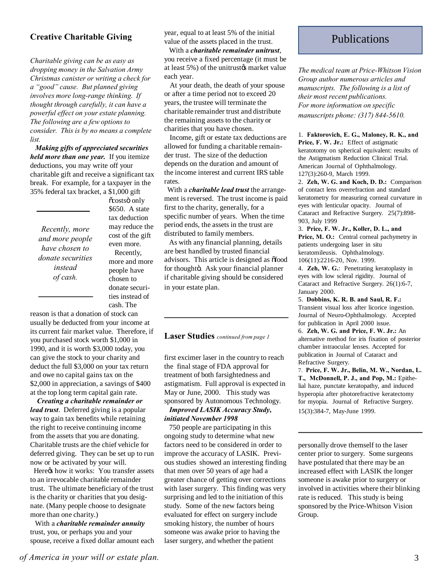# **Creative Charitable Giving**

*Charitable giving can be as easy as dropping money in the Salvation Army Christmas canister or writing a check for a "good" cause. But planned giving involves more long-range thinking. If thought through carefully, it can have a powerful effect on your estate planning. The following are a few options to consider. This is by no means a complete list.*

 *Making gifts of appreciated securities held more than one year.* If you itemize deductions, you may write off your charitable gift and receive a significant tax break. For example, for a taxpayer in the 35% federal tax bracket, a \$1,000 gift

*Recently, more and more people have chosen to donate securities instead of cash.*

tax deduction may reduce the cost of the gift even more. Recently, more and more people have chosen to donate securities instead of cash. The

õcostsö only \$650. A state

reason is that a donation of stock can usually be deducted from your income at its current fair market value. Therefore, if you purchased stock worth \$1,000 in 1990, and it is worth \$3,000 today, you can give the stock to your charity and deduct the full \$3,000 on your tax return and owe no capital gains tax on the \$2,000 in appreciation, a savings of \$400 at the top long term capital gain rate.

 *Creating a charitable remainder or lead trust*. Deferred giving is a popular way to gain tax benefits while retaining the right to receive continuing income from the assets that you are donating. Charitable trusts are the chief vehicle for deferred giving. They can be set up to run now or be activated by your will.

Here  $\alpha$  how it works: You transfer assets to an irrevocable charitable remainder trust. The ultimate beneficiary of the trust is the charity or charities that you designate. (Many people choose to designate more than one charity.)

 With a *charitable remainder annuity* trust, you, or perhaps you and your spouse, receive a fixed dollar amount each year, equal to at least 5% of the initial value of the assets placed in the trust.

 With a *charitable remainder unitrust*, you receive a fixed percentage (it must be at least 5%) of the unitrusty market value each year.

 At your death, the death of your spouse or after a time period not to exceed 20 years, the trustee will terminate the charitable remainder trust and distribute the remaining assets to the charity or charities that you have chosen.

 Income, gift or estate tax deductions are allowed for funding a charitable remainder trust. The size of the deduction depends on the duration and amount of the income interest and current IRS table rates.

 With a *charitable lead trust* the arrangement is reversed. The trust income is paid first to the charity, generally, for a specific number of years. When the time period ends, the assets in the trust are distributed to family members.

 As with any financial planning, details are best handled by trusted financial advisors. This article is designed as  $\delta$ food for thoughtö. Ask your financial planner if charitable giving should be considered in your estate plan.

**Laser Studies** *continued from page 1*

first excimer laser in the country to reach the final stage of FDA approval for treatment of both farsightedness and astigmatism. Full approval is expected in May or June, 2000. This study was sponsored by Autonomous Technology.

## *Improved LASIK Accuracy Study, initiated November 1998*

 750 people are participating in this ongoing study to determine what new factors need to be considered in order to improve the accuracy of LASIK. Previous studies showed an interesting finding that men over 50 years of age had a greater chance of getting over corrections with laser surgery. This finding was very surprising and led to the initiation of this study. Some of the new factors being evaluated for effect on surgery include smoking history, the number of hours someone was awake prior to having the laser surgery, and whether the patient

# Publications

*The medical team at Price-Whitson Vision Group author numerous articles and manuscripts. The following is a list of their most recent publications. For more information on specific manuscripts phone: (317) 844-5610.*

1. **Faktorovich, E. G., Maloney, R. K., and Price, F. W. Jr.:** Effect of astigmatic keratotomy on spherical equivalent: results of the Astigmatism Reduction Clinical Trial. American Journal of Ophthalmology. 127(3):260-9, March 1999.

2. **Zeh, W. G. and Koch, D. D.:** Comparison of contact lens overrefraction and standard keratometry for measuring corneal curvature in eyes with lenticular opacity. Journal of Cataract and Refractive Surgery. 25(7):898- 903, July 1999

3. **Price, F. W. Jr., Koller, D. L., and** Price, M. O.: Central corneal pachymetry in patients undergoing laser in situ keratomileusis. Ophthalmology. 106(11):2216-20, Nov. 1999.

4. **Zeh, W. G.**: Penetrating keratoplasty in eyes with low scleral rigidity. Journal of Cataract and Refractive Surgery. 26(1):6-7, January 2000.

5. **Dobbins, K. R. B. and Saul, R. F.:** Transient visual loss after licorice ingestion. Journal of Neuro-Ophthalmology. Accepted for publication in April 2000 issue.

6. **Zeh, W. G. and Price, F. W. Jr.:** An alternative method for iris fixation of posterior chamber intraocular lenses. Accepted for publication in Journal of Cataract and Refractive Surgery.

7. **Price, F. W. Jr., Belin, M. W., Nordan, L. T., McDonnell, P. J., and Pop, M.:** Epithelial haze, punctate keratopathy, and induced hyperopia after photorefractive keratectomy for myopia. Journal of Refractive Surgery. 15(3):384-7, May-June 1999.

personally drove themself to the laser center prior to surgery. Some surgeons have postulated that there may be an increased effect with LASIK the longer someone is awake prior to surgery or involved in activities where their blinking rate is reduced. This study is being sponsored by the Price-Whitson Vision Group.